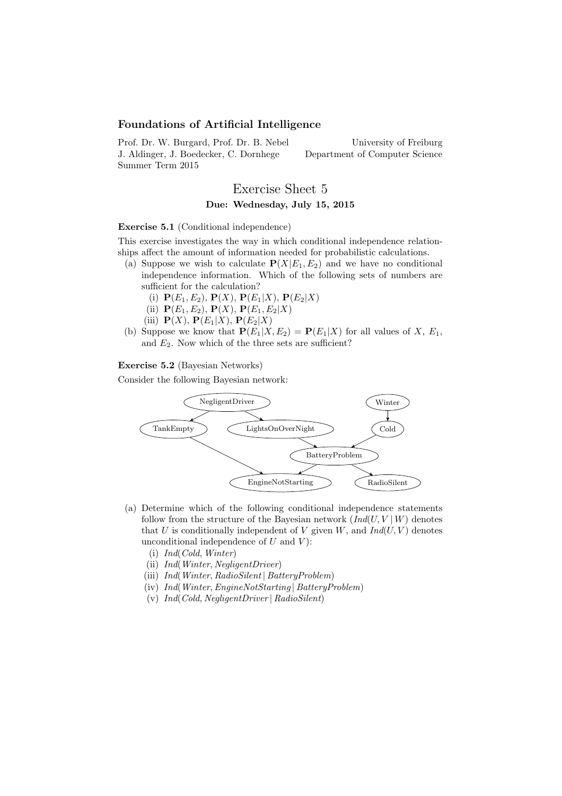## Foundations of Artificial Intelligence

Prof. Dr. W. Burgard, Prof. Dr. B. Nebel J. Aldinger, J. Boedecker, C. Dornhege Summer Term 2015

University of Freiburg Department of Computer Science

# Exercise Sheet 5 Due: Wednesday, July 15, 2015

#### Exercise 5.1 (Conditional independence)

This exercise investigates the way in which conditional independence relationships affect the amount of information needed for probabilistic calculations.

- (a) Suppose we wish to calculate  $P(X|E_1, E_2)$  and we have no conditional independence information. Which of the following sets of numbers are sufficient for the calculation?
	- (i)  ${\bf P}(E_1, E_2), {\bf P}(X), {\bf P}(E_1|X), {\bf P}(E_2|X)$
	- (ii)  ${\bf P}(E_1, E_2), {\bf P}(X), {\bf P}(E_1, E_2|X)$
	- (iii)  $\mathbf{P}(X)$ ,  $\mathbf{P}(E_1|X)$ ,  $\mathbf{P}(E_2|X)$
- (b) Suppose we know that  $P(E_1|X, E_2) = P(E_1|X)$  for all values of X,  $E_1$ , and  $E_2$ . Now which of the three sets are sufficient?

Exercise 5.2 (Bayesian Networks)

Consider the following Bayesian network:



- (a) Determine which of the following conditional independence statements follow from the structure of the Bayesian network  $(Ind(U, V | W))$  denotes that U is conditionally independent of V given  $W$ , and  $Ind(U, V)$  denotes unconditional independence of  $U$  and  $V$ ):
	- (i) Ind(Cold, Winter)
	- (ii) Ind(Winter, NegligentDriver)
	- (iii) Ind(Winter, RadioSilent | BatteryProblem)
	- (iv) Ind(Winter,EngineNotStarting | BatteryProblem)
	- (v) Ind(Cold, NegligentDriver | RadioSilent)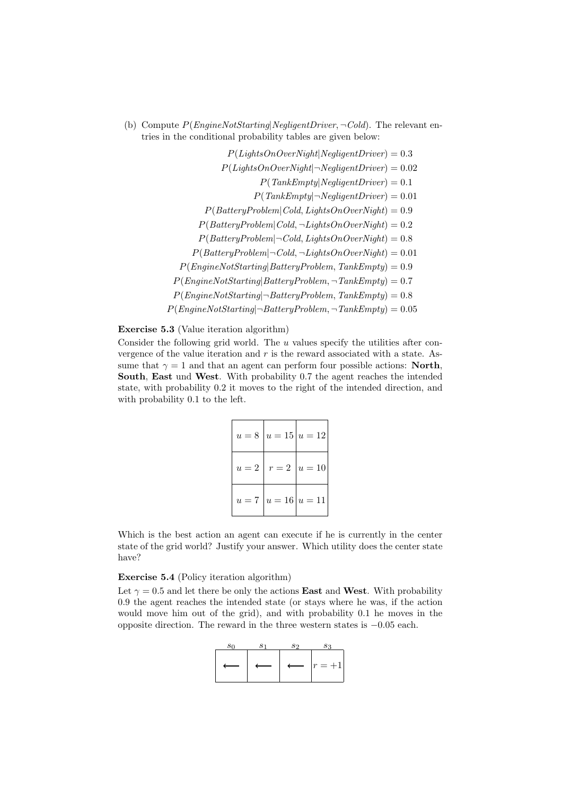(b) Compute  $P(EnqineNotStarting|Negative: \neg Cold)$ . The relevant entries in the conditional probability tables are given below:

> $P(LiahtsOnOverNiaht|NealiaentDiriver) = 0.3$  $P(LiahtsOnOverNiaht|\neg NealiaentDiriver) = 0.02$  $P(TankEmpty|Negative) = 0.1$  $P(TankEmbv|\neg NealiaentDiriver) = 0.01$  $P(Battery Problem | Cold, LightsOnOver Night) = 0.9$  $P(Battery Problem | Cold, \neg LightsOnOverNight) = 0.2$  $P(Battery Problem | \neg Cold, LightsOnOverNight) = 0.8$  $P(Battery Problem | \neg Cold, \neg LightsOnOverRight) = 0.01$  $P(EnqineNotStarting|BatteryProblem, TankEmpty) = 0.9$  $P(EnqineNotStarting|BatteryProblem, \neg TankEmpty) = 0.7$  $P(EnqineNotStarting | \neg BatteryProblem, TankEmpty) = 0.8$  $P(EngineeringNotStarting | \neg BatteryProblem, \neg TankEmpty) = 0.05$

#### Exercise 5.3 (Value iteration algorithm)

Consider the following grid world. The  $u$  values specify the utilities after convergence of the value iteration and  $r$  is the reward associated with a state. Assume that  $\gamma = 1$  and that an agent can perform four possible actions: North, South, East und West. With probability 0.7 the agent reaches the intended state, with probability 0.2 it moves to the right of the intended direction, and with probability 0.1 to the left.

|                           | $u = 8   u = 15   u = 12  $ |
|---------------------------|-----------------------------|
|                           | $u=2   r=2   u=10  $        |
| $u = 7   u = 16   u = 11$ |                             |

Which is the best action an agent can execute if he is currently in the center state of the grid world? Justify your answer. Which utility does the center state have?

#### Exercise 5.4 (Policy iteration algorithm)

Let  $\gamma = 0.5$  and let there be only the actions **East** and **West**. With probability 0.9 the agent reaches the intended state (or stays where he was, if the action would move him out of the grid), and with probability 0.1 he moves in the opposite direction. The reward in the three western states is −0.05 each.